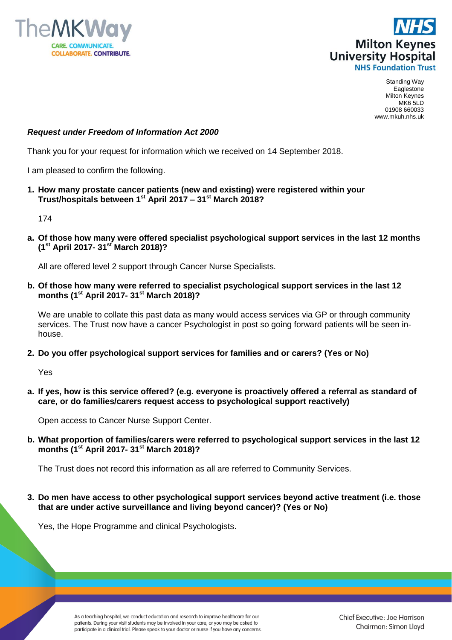



Standing Way Eaglestone Milton Keynes MK6 5LD 01908 660033 www.mkuh.nhs.uk

## *Request under Freedom of Information Act 2000*

Thank you for your request for information which we received on 14 September 2018.

I am pleased to confirm the following.

**1. How many prostate cancer patients (new and existing) were registered within your Trust/hospitals between 1st April 2017 – 31st March 2018?**

174

**a. Of those how many were offered specialist psychological support services in the last 12 months (1st April 2017- 31st March 2018)?**

All are offered level 2 support through Cancer Nurse Specialists.

**b. Of those how many were referred to specialist psychological support services in the last 12 months (1st April 2017- 31st March 2018)?**

We are unable to collate this past data as many would access services via GP or through community services. The Trust now have a cancer Psychologist in post so going forward patients will be seen inhouse.

**2. Do you offer psychological support services for families and or carers? (Yes or No)**

Yes

**a. If yes, how is this service offered? (e.g. everyone is proactively offered a referral as standard of care, or do families/carers request access to psychological support reactively)**

Open access to Cancer Nurse Support Center.

**b. What proportion of families/carers were referred to psychological support services in the last 12 months (1st April 2017- 31st March 2018)?**

The Trust does not record this information as all are referred to Community Services.

**3. Do men have access to other psychological support services beyond active treatment (i.e. those that are under active surveillance and living beyond cancer)? (Yes or No)**

Yes, the Hope Programme and clinical Psychologists.

As a teaching hospital, we conduct education and research to improve healthcare for our patients. During your visit students may be involved in your care, or you may be asked to participate in a clinical trial. Please speak to your doctor or nurse if you have any concerns. Chief Executive: Joe Harrison Chairman: Simon Lloyd